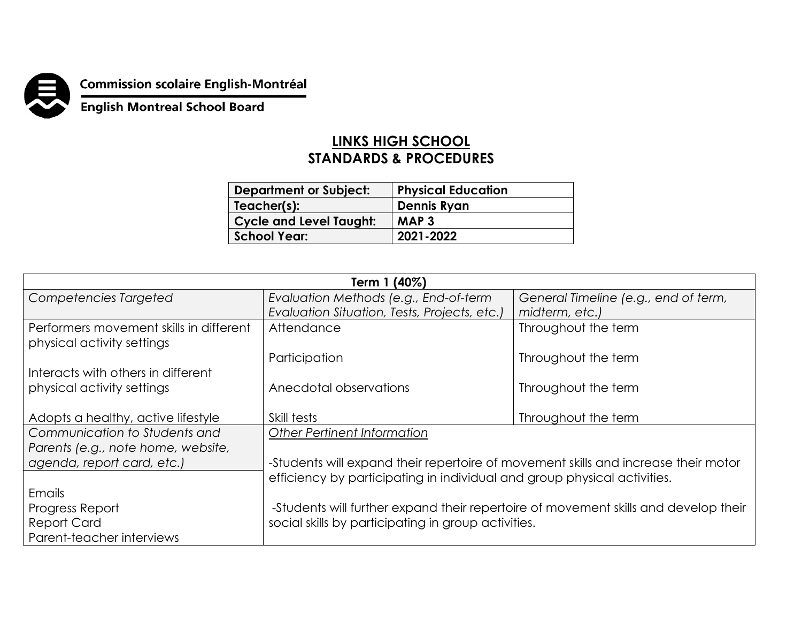

## **Commission scolaire English-Montréal<br>English Montreal School Board**

## **LINKS HIGH SCHOOL STANDARDS & PROCEDURES**

| <b>Department or Subject:</b>  | <b>Physical Education</b> |
|--------------------------------|---------------------------|
| Teacher(s):                    | <b>Dennis Ryan</b>        |
| <b>Cycle and Level Taught:</b> | MAP <sub>3</sub>          |
| <b>School Year:</b>            | 2021-2022                 |

| Term 1 (40%)                                                          |                                                                                     |                                      |  |
|-----------------------------------------------------------------------|-------------------------------------------------------------------------------------|--------------------------------------|--|
| Competencies Targeted                                                 | Evaluation Methods (e.g., End-of-term                                               | General Timeline (e.g., end of term, |  |
|                                                                       | Evaluation Situation, Tests, Projects, etc.)                                        | midterm, etc.)                       |  |
| Performers movement skills in different<br>physical activity settings | Attendance                                                                          | Throughout the term                  |  |
|                                                                       | Participation                                                                       | Throughout the term                  |  |
| Interacts with others in different                                    |                                                                                     |                                      |  |
| physical activity settings                                            | Anecdotal observations                                                              | Throughout the term                  |  |
|                                                                       |                                                                                     |                                      |  |
| Adopts a healthy, active lifestyle                                    | Skill tests                                                                         | Throughout the term                  |  |
| Communication to Students and                                         | <b>Other Pertinent Information</b>                                                  |                                      |  |
| Parents (e.g., note home, website,                                    |                                                                                     |                                      |  |
| agenda, report card, etc.)                                            | -Students will expand their repertoire of movement skills and increase their motor  |                                      |  |
|                                                                       | efficiency by participating in individual and group physical activities.            |                                      |  |
| Emails                                                                |                                                                                     |                                      |  |
| Progress Report                                                       | -Students will further expand their repertoire of movement skills and develop their |                                      |  |
| <b>Report Card</b>                                                    | social skills by participating in group activities.                                 |                                      |  |
| Parent-teacher interviews                                             |                                                                                     |                                      |  |